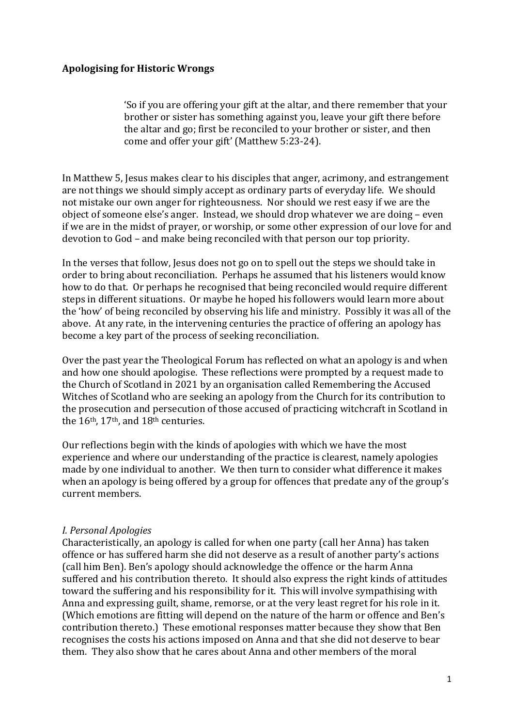# **Apologising for Historic Wrongs**

'So if you are offering your gift at the altar, and there remember that your brother or sister has something against you, leave your gift there before the altar and go; first be reconciled to your brother or sister, and then come and offer your gift' (Matthew 5:23-24).

In Matthew 5, Jesus makes clear to his disciples that anger, acrimony, and estrangement are not things we should simply accept as ordinary parts of everyday life. We should not mistake our own anger for righteousness. Nor should we rest easy if we are the object of someone else's anger. Instead, we should drop whatever we are doing – even if we are in the midst of prayer, or worship, or some other expression of our love for and devotion to God – and make being reconciled with that person our top priority.

In the verses that follow, Jesus does not go on to spell out the steps we should take in order to bring about reconciliation. Perhaps he assumed that his listeners would know how to do that. Or perhaps he recognised that being reconciled would require different steps in different situations. Or maybe he hoped his followers would learn more about the 'how' of being reconciled by observing his life and ministry. Possibly it was all of the above. At any rate, in the intervening centuries the practice of offering an apology has become a key part of the process of seeking reconciliation.

Over the past year the Theological Forum has reflected on what an apology is and when and how one should apologise. These reflections were prompted by a request made to the Church of Scotland in 2021 by an organisation called Remembering the Accused Witches of Scotland who are seeking an apology from the Church for its contribution to the prosecution and persecution of those accused of practicing witchcraft in Scotland in the 16<sup>th</sup>, 17<sup>th</sup>, and 18<sup>th</sup> centuries.

Our reflections begin with the kinds of apologies with which we have the most experience and where our understanding of the practice is clearest, namely apologies made by one individual to another. We then turn to consider what difference it makes when an apology is being offered by a group for offences that predate any of the group's current members.

# *I. Personal Apologies*

Characteristically, an apology is called for when one party (call her Anna) has taken offence or has suffered harm she did not deserve as a result of another party's actions (call him Ben). Ben's apology should acknowledge the offence or the harm Anna suffered and his contribution thereto. It should also express the right kinds of attitudes toward the suffering and his responsibility for it. This will involve sympathising with Anna and expressing guilt, shame, remorse, or at the very least regret for his role in it. (Which emotions are fitting will depend on the nature of the harm or offence and Ben's contribution thereto.) These emotional responses matter because they show that Ben recognises the costs his actions imposed on Anna and that she did not deserve to bear them. They also show that he cares about Anna and other members of the moral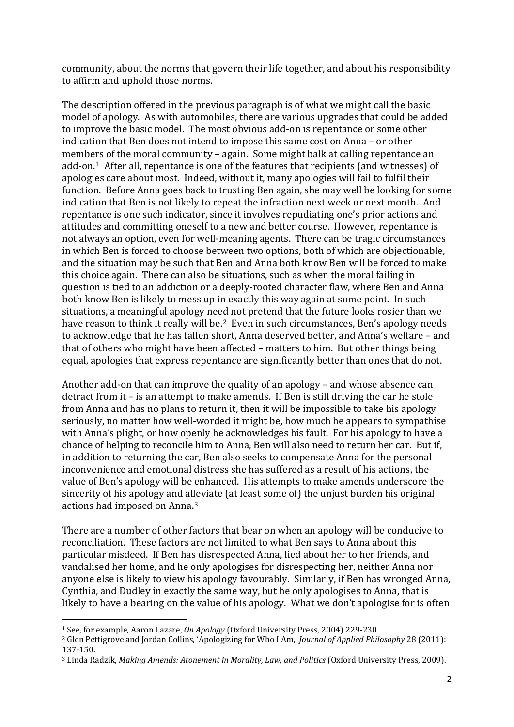community, about the norms that govern their life together, and about his responsibility to affirm and uphold those norms.

The description offered in the previous paragraph is of what we might call the basic model of apology. As with automobiles, there are various upgrades that could be added to improve the basic model. The most obvious add-on is repentance or some other indication that Ben does not intend to impose this same cost on Anna – or other members of the moral community – again. Some might balk at calling repentance an add-on.[1](#page-1-0) After all, repentance is one of the features that recipients (and witnesses) of apologies care about most. Indeed, without it, many apologies will fail to fulfil their function. Before Anna goes back to trusting Ben again, she may well be looking for some indication that Ben is not likely to repeat the infraction next week or next month. And repentance is one such indicator, since it involves repudiating one's prior actions and attitudes and committing oneself to a new and better course. However, repentance is not always an option, even for well-meaning agents. There can be tragic circumstances in which Ben is forced to choose between two options, both of which are objectionable, and the situation may be such that Ben and Anna both know Ben will be forced to make this choice again. There can also be situations, such as when the moral failing in question is tied to an addiction or a deeply-rooted character flaw, where Ben and Anna both know Ben is likely to mess up in exactly this way again at some point. In such situations, a meaningful apology need not pretend that the future looks rosier than we have reason to think it really will be.<sup>2</sup> Even in such circumstances, Ben's apology needs to acknowledge that he has fallen short, Anna deserved better, and Anna's welfare – and that of others who might have been affected – matters to him. But other things being equal, apologies that express repentance are significantly better than ones that do not.

Another add-on that can improve the quality of an apology – and whose absence can detract from it – is an attempt to make amends. If Ben is still driving the car he stole from Anna and has no plans to return it, then it will be impossible to take his apology seriously, no matter how well-worded it might be, how much he appears to sympathise with Anna's plight, or how openly he acknowledges his fault. For his apology to have a chance of helping to reconcile him to Anna, Ben will also need to return her car. But if, in addition to returning the car, Ben also seeks to compensate Anna for the personal inconvenience and emotional distress she has suffered as a result of his actions, the value of Ben's apology will be enhanced. His attempts to make amends underscore the sincerity of his apology and alleviate (at least some of) the unjust burden his original actions had imposed on Anna.[3](#page-1-2) 

There are a number of other factors that bear on when an apology will be conducive to reconciliation. These factors are not limited to what Ben says to Anna about this particular misdeed. If Ben has disrespected Anna, lied about her to her friends, and vandalised her home, and he only apologises for disrespecting her, neither Anna nor anyone else is likely to view his apology favourably. Similarly, if Ben has wronged Anna, Cynthia, and Dudley in exactly the same way, but he only apologises to Anna, that is likely to have a bearing on the value of his apology. What we don't apologise for is often

<span id="page-1-0"></span><sup>1</sup> See, for example, Aaron Lazare, *On Apology* (Oxford University Press, 2004) 229-230.

<span id="page-1-1"></span><sup>2</sup> Glen Pettigrove and Jordan Collins, 'Apologizing for Who I Am,' *Journal of Applied Philosophy* 28 (2011): 137-150.

<span id="page-1-2"></span><sup>3</sup> Linda Radzik, *Making Amends: Atonement in Morality, Law, and Politics* (Oxford University Press, 2009).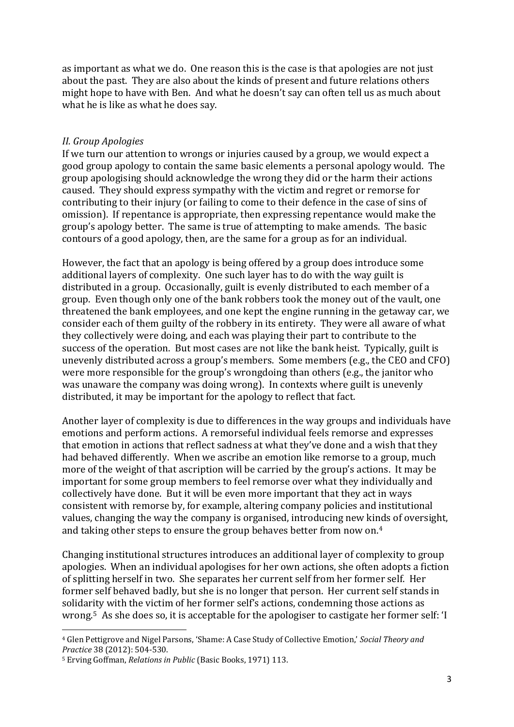as important as what we do. One reason this is the case is that apologies are not just about the past. They are also about the kinds of present and future relations others might hope to have with Ben. And what he doesn't say can often tell us as much about what he is like as what he does say.

#### *II. Group Apologies*

If we turn our attention to wrongs or injuries caused by a group, we would expect a good group apology to contain the same basic elements a personal apology would. The group apologising should acknowledge the wrong they did or the harm their actions caused. They should express sympathy with the victim and regret or remorse for contributing to their injury (or failing to come to their defence in the case of sins of omission). If repentance is appropriate, then expressing repentance would make the group's apology better. The same is true of attempting to make amends. The basic contours of a good apology, then, are the same for a group as for an individual.

However, the fact that an apology is being offered by a group does introduce some additional layers of complexity. One such layer has to do with the way guilt is distributed in a group. Occasionally, guilt is evenly distributed to each member of a group. Even though only one of the bank robbers took the money out of the vault, one threatened the bank employees, and one kept the engine running in the getaway car, we consider each of them guilty of the robbery in its entirety. They were all aware of what they collectively were doing, and each was playing their part to contribute to the success of the operation. But most cases are not like the bank heist. Typically, guilt is unevenly distributed across a group's members. Some members (e.g., the CEO and CFO) were more responsible for the group's wrongdoing than others (e.g., the janitor who was unaware the company was doing wrong). In contexts where guilt is unevenly distributed, it may be important for the apology to reflect that fact.

Another layer of complexity is due to differences in the way groups and individuals have emotions and perform actions. A remorseful individual feels remorse and expresses that emotion in actions that reflect sadness at what they've done and a wish that they had behaved differently. When we ascribe an emotion like remorse to a group, much more of the weight of that ascription will be carried by the group's actions. It may be important for some group members to feel remorse over what they individually and collectively have done. But it will be even more important that they act in ways consistent with remorse by, for example, altering company policies and institutional values, changing the way the company is organised, introducing new kinds of oversight, and taking other steps to ensure the group behaves better from now on.[4](#page-2-0)

Changing institutional structures introduces an additional layer of complexity to group apologies. When an individual apologises for her own actions, she often adopts a fiction of splitting herself in two. She separates her current self from her former self. Her former self behaved badly, but she is no longer that person. Her current self stands in solidarity with the victim of her former self's actions, condemning those actions as wrong.[5](#page-2-1) As she does so, it is acceptable for the apologiser to castigate her former self: 'I

<span id="page-2-0"></span><sup>4</sup> Glen Pettigrove and Nigel Parsons, 'Shame: A Case Study of Collective Emotion,' *Social Theory and Practice* 38 (2012): 504-530.

<span id="page-2-1"></span><sup>5</sup> Erving Goffman, *Relations in Public* (Basic Books, 1971) 113.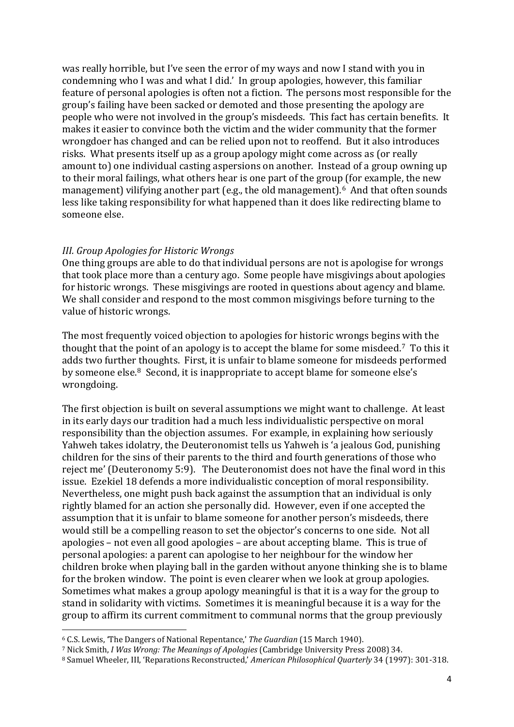was really horrible, but I've seen the error of my ways and now I stand with you in condemning who I was and what I did.' In group apologies, however, this familiar feature of personal apologies is often not a fiction. The persons most responsible for the group's failing have been sacked or demoted and those presenting the apology are people who were not involved in the group's misdeeds. This fact has certain benefits. It makes it easier to convince both the victim and the wider community that the former wrongdoer has changed and can be relied upon not to reoffend. But it also introduces risks. What presents itself up as a group apology might come across as (or really amount to) one individual casting aspersions on another. Instead of a group owning up to their moral failings, what others hear is one part of the group (for example, the new management) vilifying another part (e.g., the old management).<sup>6</sup> And that often sounds less like taking responsibility for what happened than it does like redirecting blame to someone else.

### *III. Group Apologies for Historic Wrongs*

One thing groups are able to do that individual persons are not is apologise for wrongs that took place more than a century ago. Some people have misgivings about apologies for historic wrongs. These misgivings are rooted in questions about agency and blame. We shall consider and respond to the most common misgivings before turning to the value of historic wrongs.

The most frequently voiced objection to apologies for historic wrongs begins with the thought that the point of an apology is to accept the blame for some misdeed[.7](#page-3-1) To this it adds two further thoughts. First, it is unfair to blame someone for misdeeds performed by someone else.[8](#page-3-2) Second, it is inappropriate to accept blame for someone else's wrongdoing.

The first objection is built on several assumptions we might want to challenge. At least in its early days our tradition had a much less individualistic perspective on moral responsibility than the objection assumes. For example, in explaining how seriously Yahweh takes idolatry, the Deuteronomist tells us Yahweh is 'a jealous God, punishing children for the sins of their parents to the third and fourth generations of those who reject me' (Deuteronomy 5:9). The Deuteronomist does not have the final word in this issue. Ezekiel 18 defends a more individualistic conception of moral responsibility. Nevertheless, one might push back against the assumption that an individual is only rightly blamed for an action she personally did. However, even if one accepted the assumption that it is unfair to blame someone for another person's misdeeds, there would still be a compelling reason to set the objector's concerns to one side. Not all apologies – not even all good apologies – are about accepting blame. This is true of personal apologies: a parent can apologise to her neighbour for the window her children broke when playing ball in the garden without anyone thinking she is to blame for the broken window. The point is even clearer when we look at group apologies. Sometimes what makes a group apology meaningful is that it is a way for the group to stand in solidarity with victims. Sometimes it is meaningful because it is a way for the group to affirm its current commitment to communal norms that the group previously

<span id="page-3-0"></span><sup>6</sup> C.S. Lewis, 'The Dangers of National Repentance,' *The Guardian* (15 March 1940).

<span id="page-3-1"></span><sup>7</sup> Nick Smith, *I Was Wrong: The Meanings of Apologies* (Cambridge University Press 2008) 34.

<span id="page-3-2"></span><sup>8</sup> Samuel Wheeler, III, 'Reparations Reconstructed,' *American Philosophical Quarterly* 34 (1997): 301-318.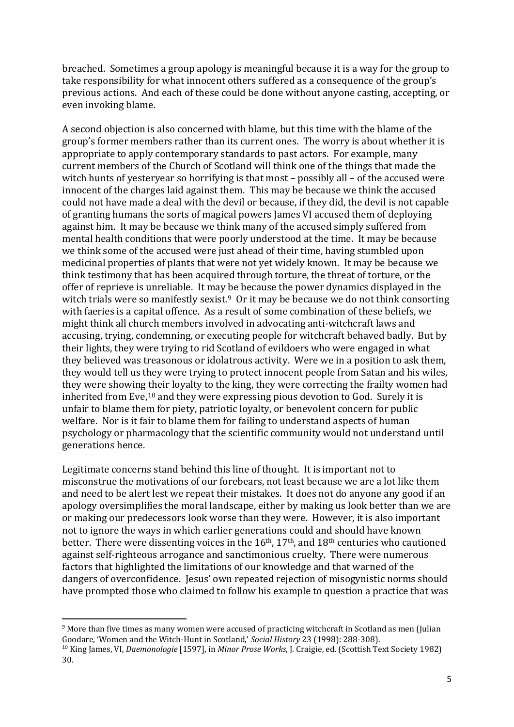breached. Sometimes a group apology is meaningful because it is a way for the group to take responsibility for what innocent others suffered as a consequence of the group's previous actions. And each of these could be done without anyone casting, accepting, or even invoking blame.

A second objection is also concerned with blame, but this time with the blame of the group's former members rather than its current ones. The worry is about whether it is appropriate to apply contemporary standards to past actors. For example, many current members of the Church of Scotland will think one of the things that made the witch hunts of yesteryear so horrifying is that most – possibly all – of the accused were innocent of the charges laid against them. This may be because we think the accused could not have made a deal with the devil or because, if they did, the devil is not capable of granting humans the sorts of magical powers James VI accused them of deploying against him. It may be because we think many of the accused simply suffered from mental health conditions that were poorly understood at the time. It may be because we think some of the accused were just ahead of their time, having stumbled upon medicinal properties of plants that were not yet widely known. It may be because we think testimony that has been acquired through torture, the threat of torture, or the offer of reprieve is unreliable. It may be because the power dynamics displayed in the witch trials were so manifestly sexist.<sup>9</sup> Or it may be because we do not think consorting with faeries is a capital offence. As a result of some combination of these beliefs, we might think all church members involved in advocating anti-witchcraft laws and accusing, trying, condemning, or executing people for witchcraft behaved badly. But by their lights, they were trying to rid Scotland of evildoers who were engaged in what they believed was treasonous or idolatrous activity. Were we in a position to ask them, they would tell us they were trying to protect innocent people from Satan and his wiles, they were showing their loyalty to the king, they were correcting the frailty women had inherited from Eve,[10](#page-4-1) and they were expressing pious devotion to God. Surely it is unfair to blame them for piety, patriotic loyalty, or benevolent concern for public welfare. Nor is it fair to blame them for failing to understand aspects of human psychology or pharmacology that the scientific community would not understand until generations hence.

Legitimate concerns stand behind this line of thought. It is important not to misconstrue the motivations of our forebears, not least because we are a lot like them and need to be alert lest we repeat their mistakes. It does not do anyone any good if an apology oversimplifies the moral landscape, either by making us look better than we are or making our predecessors look worse than they were. However, it is also important not to ignore the ways in which earlier generations could and should have known better. There were dissenting voices in the  $16<sup>th</sup>$ ,  $17<sup>th</sup>$ , and  $18<sup>th</sup>$  centuries who cautioned against self-righteous arrogance and sanctimonious cruelty. There were numerous factors that highlighted the limitations of our knowledge and that warned of the dangers of overconfidence. Jesus' own repeated rejection of misogynistic norms should have prompted those who claimed to follow his example to question a practice that was

<span id="page-4-0"></span><sup>&</sup>lt;sup>9</sup> More than five times as many women were accused of practicing witchcraft in Scotland as men (Julian Goodare, 'Women and the Witch-Hunt in Scotland,' Social History 23 (1998): 288-308).

<span id="page-4-1"></span><sup>&</sup>lt;sup>10</sup> King James, VI, *Daemonologie* [1597], in *Minor Prose Works*, J. Craigie, ed. (Scottish Text Society 1982) 30.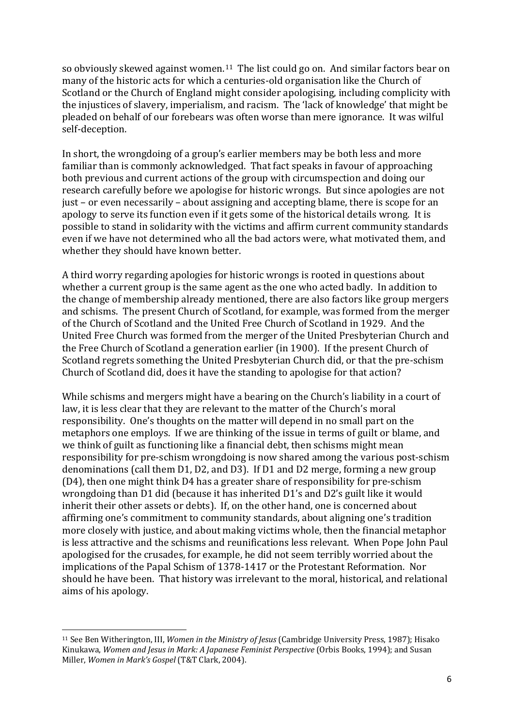so obviously skewed against women.[11](#page-5-0) The list could go on. And similar factors bear on many of the historic acts for which a centuries-old organisation like the Church of Scotland or the Church of England might consider apologising, including complicity with the injustices of slavery, imperialism, and racism. The 'lack of knowledge' that might be pleaded on behalf of our forebears was often worse than mere ignorance. It was wilful self-deception.

In short, the wrongdoing of a group's earlier members may be both less and more familiar than is commonly acknowledged. That fact speaks in favour of approaching both previous and current actions of the group with circumspection and doing our research carefully before we apologise for historic wrongs. But since apologies are not just – or even necessarily – about assigning and accepting blame, there is scope for an apology to serve its function even if it gets some of the historical details wrong. It is possible to stand in solidarity with the victims and affirm current community standards even if we have not determined who all the bad actors were, what motivated them, and whether they should have known better.

A third worry regarding apologies for historic wrongs is rooted in questions about whether a current group is the same agent as the one who acted badly. In addition to the change of membership already mentioned, there are also factors like group mergers and schisms. The present Church of Scotland, for example, was formed from the merger of the Church of Scotland and the United Free Church of Scotland in 1929. And the United Free Church was formed from the merger of the United Presbyterian Church and the Free Church of Scotland a generation earlier (in 1900). If the present Church of Scotland regrets something the United Presbyterian Church did, or that the pre-schism Church of Scotland did, does it have the standing to apologise for that action?

While schisms and mergers might have a bearing on the Church's liability in a court of law, it is less clear that they are relevant to the matter of the Church's moral responsibility. One's thoughts on the matter will depend in no small part on the metaphors one employs. If we are thinking of the issue in terms of guilt or blame, and we think of guilt as functioning like a financial debt, then schisms might mean responsibility for pre-schism wrongdoing is now shared among the various post-schism denominations (call them D1, D2, and D3). If D1 and D2 merge, forming a new group (D4), then one might think D4 has a greater share of responsibility for pre-schism wrongdoing than D1 did (because it has inherited D1's and D2's guilt like it would inherit their other assets or debts). If, on the other hand, one is concerned about affirming one's commitment to community standards, about aligning one's tradition more closely with justice, and about making victims whole, then the financial metaphor is less attractive and the schisms and reunifications less relevant. When Pope John Paul apologised for the crusades, for example, he did not seem terribly worried about the implications of the Papal Schism of 1378-1417 or the Protestant Reformation. Nor should he have been. That history was irrelevant to the moral, historical, and relational aims of his apology.

<span id="page-5-0"></span><sup>11</sup> See Ben Witherington, III, *Women in the Ministry of Jesus* (Cambridge University Press, 1987); Hisako Kinukawa, *Women and Jesus in Mark: A Japanese Feminist Perspective* (Orbis Books, 1994); and Susan Miller, *Women in Mark's Gospel* (T&T Clark, 2004).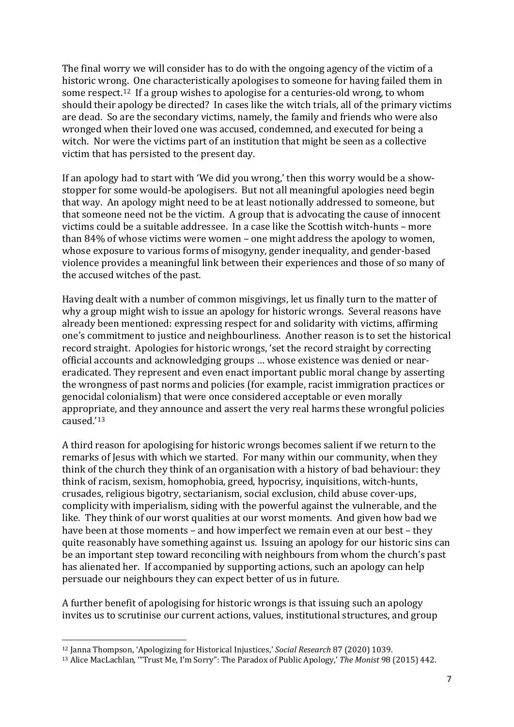The final worry we will consider has to do with the ongoing agency of the victim of a historic wrong. One characteristically apologises to someone for having failed them in some respect.[12](#page-6-0) If a group wishes to apologise for a centuries-old wrong, to whom should their apology be directed? In cases like the witch trials, all of the primary victims are dead. So are the secondary victims, namely, the family and friends who were also wronged when their loved one was accused, condemned, and executed for being a witch. Nor were the victims part of an institution that might be seen as a collective victim that has persisted to the present day.

If an apology had to start with 'We did you wrong,' then this worry would be a showstopper for some would-be apologisers. But not all meaningful apologies need begin that way. An apology might need to be at least notionally addressed to someone, but that someone need not be the victim. A group that is advocating the cause of innocent victims could be a suitable addressee. In a case like the Scottish witch-hunts – more than 84% of whose victims were women – one might address the apology to women, whose exposure to various forms of misogyny, gender inequality, and gender-based violence provides a meaningful link between their experiences and those of so many of the accused witches of the past.

Having dealt with a number of common misgivings, let us finally turn to the matter of why a group might wish to issue an apology for historic wrongs. Several reasons have already been mentioned: expressing respect for and solidarity with victims, affirming one's commitment to justice and neighbourliness. Another reason is to set the historical record straight. Apologies for historic wrongs, 'set the record straight by correcting official accounts and acknowledging groups … whose existence was denied or neareradicated. They represent and even enact important public moral change by asserting the wrongness of past norms and policies (for example, racist immigration practices or genocidal colonialism) that were once considered acceptable or even morally appropriate, and they announce and assert the very real harms these wrongful policies caused.'[13](#page-6-1) 

A third reason for apologising for historic wrongs becomes salient if we return to the remarks of Jesus with which we started. For many within our community, when they think of the church they think of an organisation with a history of bad behaviour: they think of racism, sexism, homophobia, greed, hypocrisy, inquisitions, witch-hunts, crusades, religious bigotry, sectarianism, social exclusion, child abuse cover-ups, complicity with imperialism, siding with the powerful against the vulnerable, and the like. They think of our worst qualities at our worst moments. And given how bad we have been at those moments – and how imperfect we remain even at our best – they quite reasonably have something against us. Issuing an apology for our historic sins can be an important step toward reconciling with neighbours from whom the church's past has alienated her. If accompanied by supporting actions, such an apology can help persuade our neighbours they can expect better of us in future.

A further benefit of apologising for historic wrongs is that issuing such an apology invites us to scrutinise our current actions, values, institutional structures, and group

<span id="page-6-0"></span><sup>12</sup> Janna Thompson, 'Apologizing for Historical Injustices,' *Social Research* 87 (2020) 1039.

<span id="page-6-1"></span><sup>13</sup> Alice MacLachlan, '"Trust Me, I'm Sorry": The Paradox of Public Apology,' *The Monist* 98 (2015) 442.